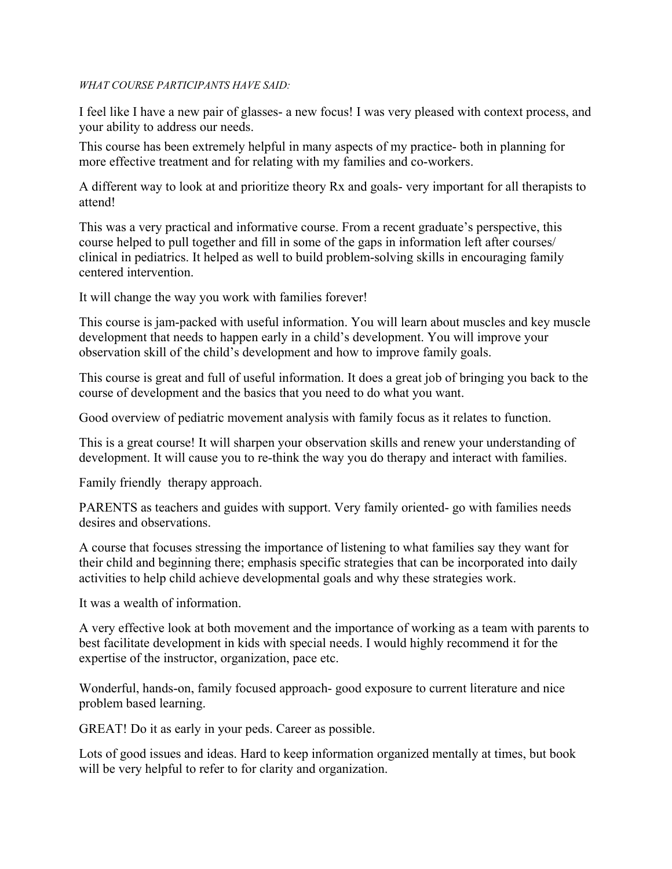## *WHAT COURSE PARTICIPANTS HAVE SAID:*

I feel like I have a new pair of glasses- a new focus! I was very pleased with context process, and your ability to address our needs.

This course has been extremely helpful in many aspects of my practice- both in planning for more effective treatment and for relating with my families and co-workers.

A different way to look at and prioritize theory Rx and goals- very important for all therapists to attend!

This was a very practical and informative course. From a recent graduate's perspective, this course helped to pull together and fill in some of the gaps in information left after courses/ clinical in pediatrics. It helped as well to build problem-solving skills in encouraging family centered intervention.

It will change the way you work with families forever!

This course is jam-packed with useful information. You will learn about muscles and key muscle development that needs to happen early in a child's development. You will improve your observation skill of the child's development and how to improve family goals.

This course is great and full of useful information. It does a great job of bringing you back to the course of development and the basics that you need to do what you want.

Good overview of pediatric movement analysis with family focus as it relates to function.

This is a great course! It will sharpen your observation skills and renew your understanding of development. It will cause you to re-think the way you do therapy and interact with families.

Family friendly therapy approach.

PARENTS as teachers and guides with support. Very family oriented- go with families needs desires and observations.

A course that focuses stressing the importance of listening to what families say they want for their child and beginning there; emphasis specific strategies that can be incorporated into daily activities to help child achieve developmental goals and why these strategies work.

It was a wealth of information.

A very effective look at both movement and the importance of working as a team with parents to best facilitate development in kids with special needs. I would highly recommend it for the expertise of the instructor, organization, pace etc.

Wonderful, hands-on, family focused approach- good exposure to current literature and nice problem based learning.

GREAT! Do it as early in your peds. Career as possible.

Lots of good issues and ideas. Hard to keep information organized mentally at times, but book will be very helpful to refer to for clarity and organization.